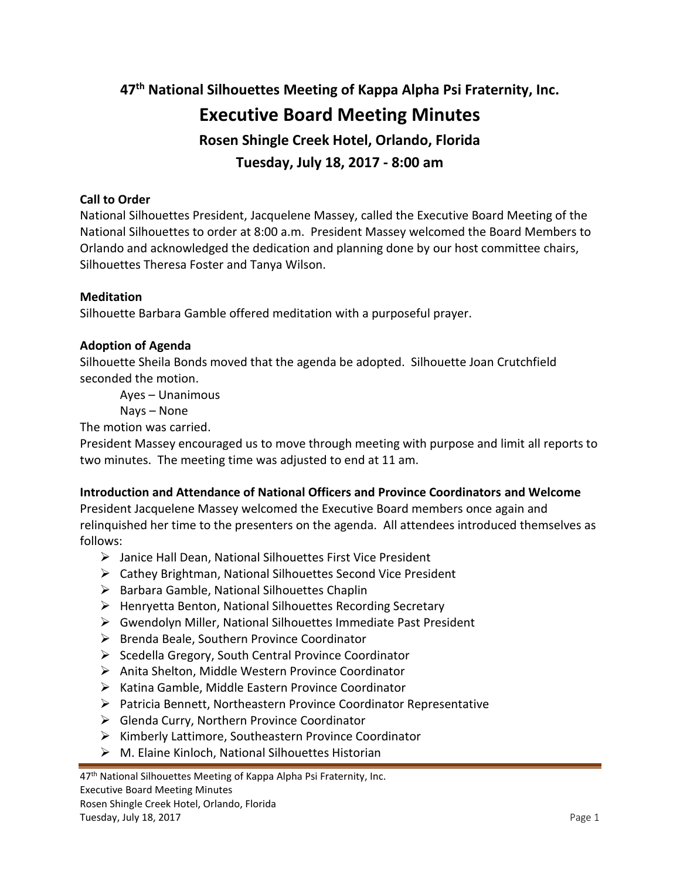**47th National Silhouettes Meeting of Kappa Alpha Psi Fraternity, Inc. Executive Board Meeting Minutes Rosen Shingle Creek Hotel, Orlando, Florida Tuesday, July 18, 2017 - 8:00 am**

### **Call to Order**

National Silhouettes President, Jacquelene Massey, called the Executive Board Meeting of the National Silhouettes to order at 8:00 a.m. President Massey welcomed the Board Members to Orlando and acknowledged the dedication and planning done by our host committee chairs, Silhouettes Theresa Foster and Tanya Wilson.

#### **Meditation**

Silhouette Barbara Gamble offered meditation with a purposeful prayer.

#### **Adoption of Agenda**

Silhouette Sheila Bonds moved that the agenda be adopted. Silhouette Joan Crutchfield seconded the motion.

Ayes – Unanimous

Nays – None

The motion was carried.

President Massey encouraged us to move through meeting with purpose and limit all reports to two minutes. The meeting time was adjusted to end at 11 am.

#### **Introduction and Attendance of National Officers and Province Coordinators and Welcome**

President Jacquelene Massey welcomed the Executive Board members once again and relinquished her time to the presenters on the agenda. All attendees introduced themselves as follows:

- Janice Hall Dean, National Silhouettes First Vice President
- Cathey Brightman, National Silhouettes Second Vice President
- $\triangleright$  Barbara Gamble, National Silhouettes Chaplin
- $\triangleright$  Henryetta Benton, National Silhouettes Recording Secretary
- Gwendolyn Miller, National Silhouettes Immediate Past President
- $\triangleright$  Brenda Beale, Southern Province Coordinator
- $\triangleright$  Scedella Gregory, South Central Province Coordinator
- Anita Shelton, Middle Western Province Coordinator
- $\triangleright$  Katina Gamble, Middle Eastern Province Coordinator
- $\triangleright$  Patricia Bennett, Northeastern Province Coordinator Representative
- $\triangleright$  Glenda Curry, Northern Province Coordinator
- $\triangleright$  Kimberly Lattimore, Southeastern Province Coordinator
- $\triangleright$  M. Elaine Kinloch, National Silhouettes Historian

<sup>47&</sup>lt;sup>th</sup> National Silhouettes Meeting of Kappa Alpha Psi Fraternity, Inc.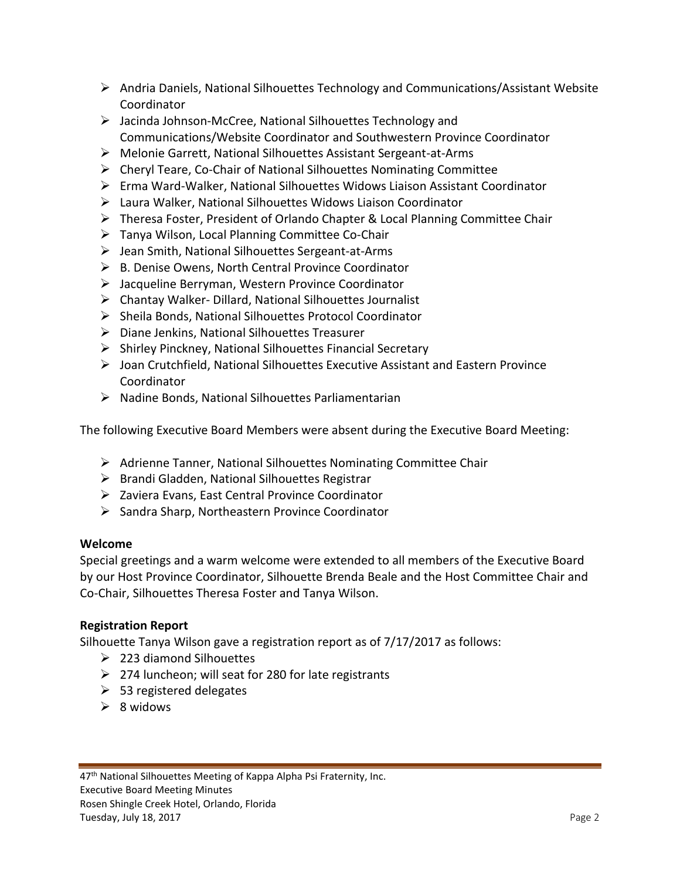- $\triangleright$  Andria Daniels, National Silhouettes Technology and Communications/Assistant Website Coordinator
- Jacinda Johnson-McCree, National Silhouettes Technology and Communications/Website Coordinator and Southwestern Province Coordinator
- Melonie Garrett, National Silhouettes Assistant Sergeant-at-Arms
- $\triangleright$  Cheryl Teare, Co-Chair of National Silhouettes Nominating Committee
- Erma Ward-Walker, National Silhouettes Widows Liaison Assistant Coordinator
- Laura Walker, National Silhouettes Widows Liaison Coordinator
- Theresa Foster, President of Orlando Chapter & Local Planning Committee Chair
- Tanya Wilson, Local Planning Committee Co-Chair
- $\triangleright$  Jean Smith, National Silhouettes Sergeant-at-Arms
- $\triangleright$  B. Denise Owens, North Central Province Coordinator
- Jacqueline Berryman, Western Province Coordinator
- $\triangleright$  Chantay Walker- Dillard, National Silhouettes Journalist
- $\triangleright$  Sheila Bonds, National Silhouettes Protocol Coordinator
- Diane Jenkins, National Silhouettes Treasurer
- $\triangleright$  Shirley Pinckney, National Silhouettes Financial Secretary
- $\triangleright$  Joan Crutchfield, National Silhouettes Executive Assistant and Eastern Province Coordinator
- $\triangleright$  Nadine Bonds, National Silhouettes Parliamentarian

The following Executive Board Members were absent during the Executive Board Meeting:

- Adrienne Tanner, National Silhouettes Nominating Committee Chair
- $\triangleright$  Brandi Gladden, National Silhouettes Registrar
- $\triangleright$  Zaviera Evans, East Central Province Coordinator
- $\triangleright$  Sandra Sharp, Northeastern Province Coordinator

## **Welcome**

Special greetings and a warm welcome were extended to all members of the Executive Board by our Host Province Coordinator, Silhouette Brenda Beale and the Host Committee Chair and Co-Chair, Silhouettes Theresa Foster and Tanya Wilson.

## **Registration Report**

Silhouette Tanya Wilson gave a registration report as of 7/17/2017 as follows:

- $\geq$  223 diamond Silhouettes
- $\geq$  274 luncheon; will seat for 280 for late registrants
- $\geq$  53 registered delegates
- $\geq 8$  widows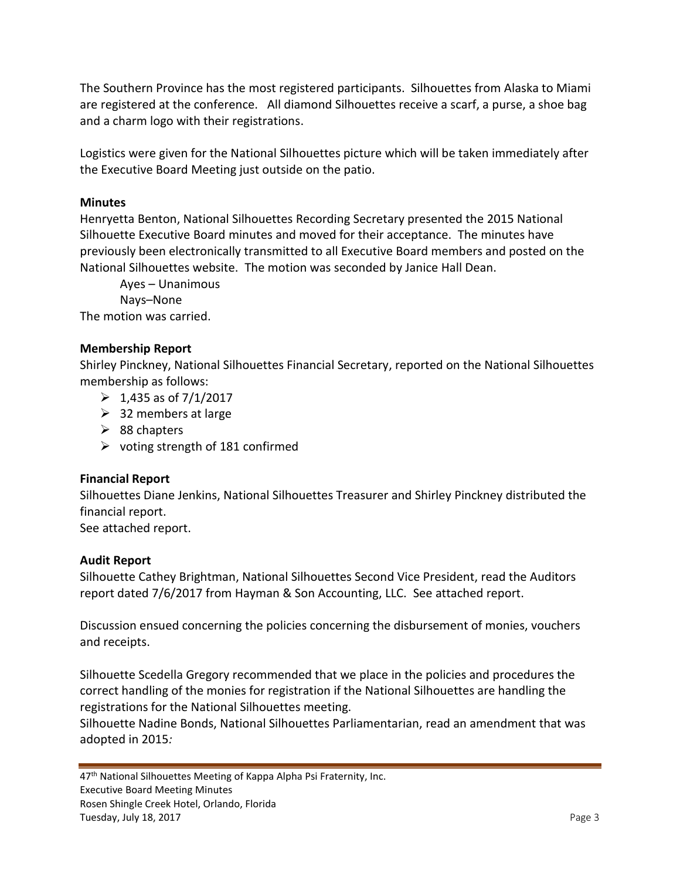The Southern Province has the most registered participants. Silhouettes from Alaska to Miami are registered at the conference. All diamond Silhouettes receive a scarf, a purse, a shoe bag and a charm logo with their registrations.

Logistics were given for the National Silhouettes picture which will be taken immediately after the Executive Board Meeting just outside on the patio.

### **Minutes**

Henryetta Benton, National Silhouettes Recording Secretary presented the 2015 National Silhouette Executive Board minutes and moved for their acceptance. The minutes have previously been electronically transmitted to all Executive Board members and posted on the National Silhouettes website. The motion was seconded by Janice Hall Dean.

Ayes – Unanimous

Nays–None

The motion was carried.

### **Membership Report**

Shirley Pinckney, National Silhouettes Financial Secretary, reported on the National Silhouettes membership as follows:

- $\geq 1,435$  as of 7/1/2017
- $\geq$  32 members at large
- $\geq$  88 chapters
- $\triangleright$  voting strength of 181 confirmed

## **Financial Report**

Silhouettes Diane Jenkins, National Silhouettes Treasurer and Shirley Pinckney distributed the financial report.

See attached report.

#### **Audit Report**

Silhouette Cathey Brightman, National Silhouettes Second Vice President, read the Auditors report dated 7/6/2017 from Hayman & Son Accounting, LLC. See attached report.

Discussion ensued concerning the policies concerning the disbursement of monies, vouchers and receipts.

Silhouette Scedella Gregory recommended that we place in the policies and procedures the correct handling of the monies for registration if the National Silhouettes are handling the registrations for the National Silhouettes meeting.

Silhouette Nadine Bonds, National Silhouettes Parliamentarian, read an amendment that was adopted in 2015*:*

47<sup>th</sup> National Silhouettes Meeting of Kappa Alpha Psi Fraternity, Inc. Executive Board Meeting Minutes Rosen Shingle Creek Hotel, Orlando, Florida Tuesday, July 18, 2017 **Page 3**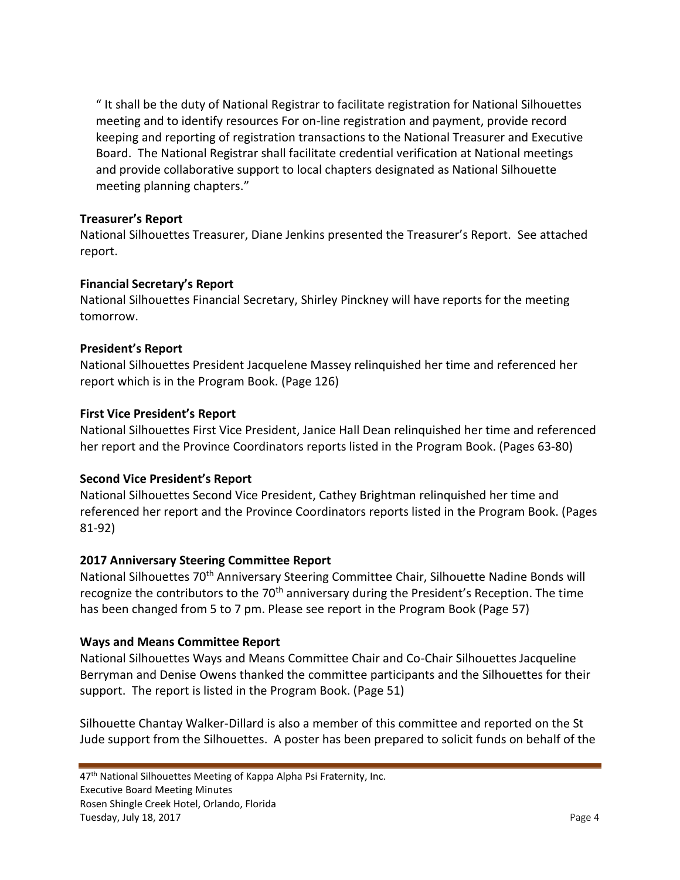" It shall be the duty of National Registrar to facilitate registration for National Silhouettes meeting and to identify resources For on-line registration and payment, provide record keeping and reporting of registration transactions to the National Treasurer and Executive Board. The National Registrar shall facilitate credential verification at National meetings and provide collaborative support to local chapters designated as National Silhouette meeting planning chapters."

### **Treasurer's Report**

National Silhouettes Treasurer, Diane Jenkins presented the Treasurer's Report. See attached report.

### **Financial Secretary's Report**

National Silhouettes Financial Secretary, Shirley Pinckney will have reports for the meeting tomorrow.

### **President's Report**

National Silhouettes President Jacquelene Massey relinquished her time and referenced her report which is in the Program Book. (Page 126)

### **First Vice President's Report**

National Silhouettes First Vice President, Janice Hall Dean relinquished her time and referenced her report and the Province Coordinators reports listed in the Program Book. (Pages 63-80)

## **Second Vice President's Report**

National Silhouettes Second Vice President, Cathey Brightman relinquished her time and referenced her report and the Province Coordinators reports listed in the Program Book. (Pages 81-92)

## **2017 Anniversary Steering Committee Report**

National Silhouettes 70<sup>th</sup> Anniversary Steering Committee Chair, Silhouette Nadine Bonds will recognize the contributors to the 70<sup>th</sup> anniversary during the President's Reception. The time has been changed from 5 to 7 pm. Please see report in the Program Book (Page 57)

## **Ways and Means Committee Report**

National Silhouettes Ways and Means Committee Chair and Co-Chair Silhouettes Jacqueline Berryman and Denise Owens thanked the committee participants and the Silhouettes for their support. The report is listed in the Program Book. (Page 51)

Silhouette Chantay Walker-Dillard is also a member of this committee and reported on the St Jude support from the Silhouettes. A poster has been prepared to solicit funds on behalf of the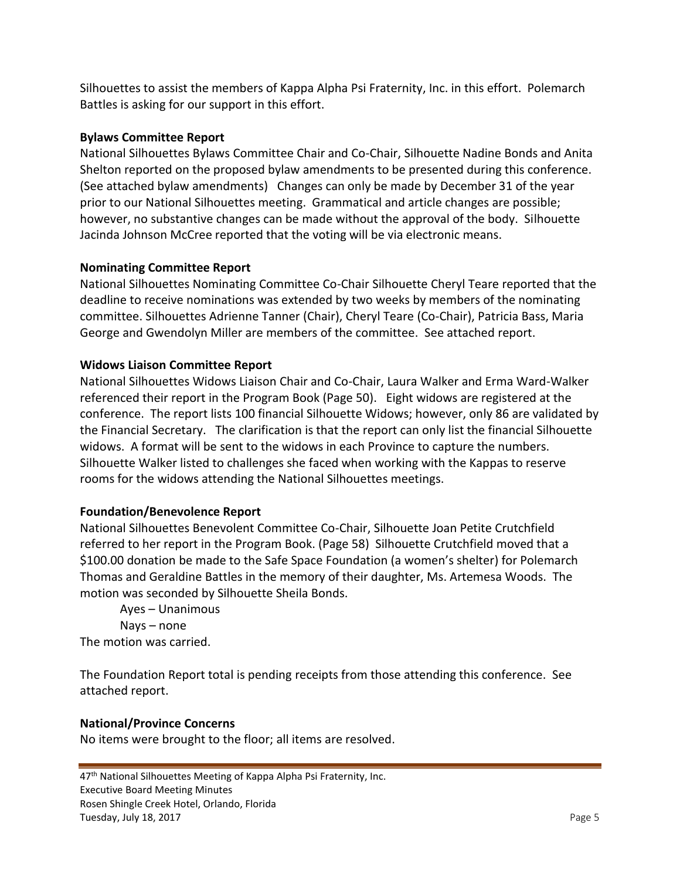Silhouettes to assist the members of Kappa Alpha Psi Fraternity, Inc. in this effort. Polemarch Battles is asking for our support in this effort.

## **Bylaws Committee Report**

National Silhouettes Bylaws Committee Chair and Co-Chair, Silhouette Nadine Bonds and Anita Shelton reported on the proposed bylaw amendments to be presented during this conference. (See attached bylaw amendments) Changes can only be made by December 31 of the year prior to our National Silhouettes meeting. Grammatical and article changes are possible; however, no substantive changes can be made without the approval of the body. Silhouette Jacinda Johnson McCree reported that the voting will be via electronic means.

# **Nominating Committee Report**

National Silhouettes Nominating Committee Co-Chair Silhouette Cheryl Teare reported that the deadline to receive nominations was extended by two weeks by members of the nominating committee. Silhouettes Adrienne Tanner (Chair), Cheryl Teare (Co-Chair), Patricia Bass, Maria George and Gwendolyn Miller are members of the committee. See attached report.

# **Widows Liaison Committee Report**

National Silhouettes Widows Liaison Chair and Co-Chair, Laura Walker and Erma Ward-Walker referenced their report in the Program Book (Page 50). Eight widows are registered at the conference. The report lists 100 financial Silhouette Widows; however, only 86 are validated by the Financial Secretary. The clarification is that the report can only list the financial Silhouette widows. A format will be sent to the widows in each Province to capture the numbers. Silhouette Walker listed to challenges she faced when working with the Kappas to reserve rooms for the widows attending the National Silhouettes meetings.

## **Foundation/Benevolence Report**

National Silhouettes Benevolent Committee Co-Chair, Silhouette Joan Petite Crutchfield referred to her report in the Program Book. (Page 58) Silhouette Crutchfield moved that a \$100.00 donation be made to the Safe Space Foundation (a women's shelter) for Polemarch Thomas and Geraldine Battles in the memory of their daughter, Ms. Artemesa Woods. The motion was seconded by Silhouette Sheila Bonds.

Ayes – Unanimous Nays – none The motion was carried.

The Foundation Report total is pending receipts from those attending this conference. See attached report.

## **National/Province Concerns**

No items were brought to the floor; all items are resolved.

47<sup>th</sup> National Silhouettes Meeting of Kappa Alpha Psi Fraternity, Inc. Executive Board Meeting Minutes Rosen Shingle Creek Hotel, Orlando, Florida Tuesday, July 18, 2017 **Page 5**